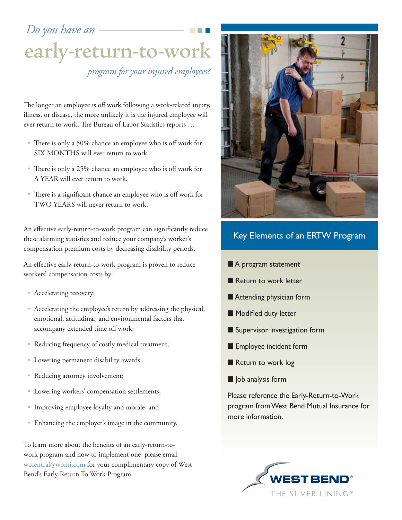*Do you have an*

# early-return-to-work *program for your injured employees?*

The longer an employee is off work following a work-related injury, illness, or disease, the more unlikely it is the injured employee will ever return to work. The Bureau of Labor Statistics reports …

- There is only a 50% chance an employee who is off work for SIX MONTHS will ever return to work.
- There is only a 25% chance an employee who is off work for A YEAR will ever return to work.
- There is a significant chance an employee who is off work for TWO YEARS will never return to work.

An effective early-return-to-work program can significantly reduce these alarming statistics and reduce your company's worker's compensation premium costs by decreasing disability periods.

An effective early-return-to-work program is proven to reduce workers' compensation costs by:

- Accelerating recovery;
- Accelerating the employee's return by addressing the physical, emotional, attitudinal, and environmental factors that accompany extended time off work;
- Reducing frequency of costly medical treatment;
- Lowering permanent disability awards;
- Reducing attorney involvement;
- Lowering workers' compensation settlements;
- Improving employee loyalty and morale; and
- Enhancing the employer's image in the community.

To learn more about the benefits of an early-return-towork program and how to implement one, please email wccentral@wbmi.com for your complimentary copy of West Bend's Early Return To Work Program.



## Key Elements of an ERTW Program

- A program statement
- Return to work letter
- **n** Attending physician form
- $\blacksquare$  Modified duty letter
- **n** Supervisor investigation form
- **Employee incident form**
- Return to work log
- $\blacksquare$  Job analysis form

Please reference the Early-Return-to-Work program from West Bend Mutual Insurance for more information.